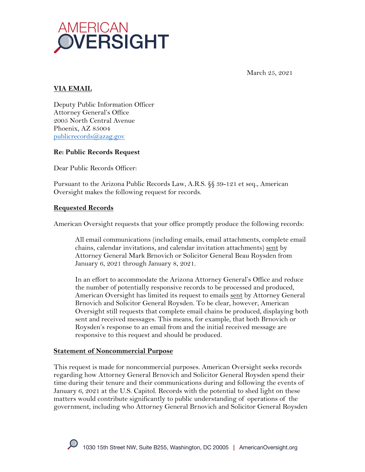

March 25, 2021

# **VIA EMAIL**

Deputy Public Information Officer Attorney General's Office 2005 North Central Avenue Phoenix, AZ 85004 publicrecords@azag.gov

## **Re: Public Records Request**

Dear Public Records Officer:

Pursuant to the Arizona Public Records Law, A.R.S. §§ 39-121 et seq., American Oversight makes the following request for records.

## **Requested Records**

American Oversight requests that your office promptly produce the following records:

All email communications (including emails, email attachments, complete email chains, calendar invitations, and calendar invitation attachments) sent by Attorney General Mark Brnovich or Solicitor General Beau Roysden from January 6, 2021 through January 8, 2021.

In an effort to accommodate the Arizona Attorney General's Office and reduce the number of potentially responsive records to be processed and produced, American Oversight has limited its request to emails sent by Attorney General Brnovich and Solicitor General Roysden. To be clear, however, American Oversight still requests that complete email chains be produced, displaying both sent and received messages. This means, for example, that both Brnovich or Roysden's response to an email from and the initial received message are responsive to this request and should be produced.

#### **Statement of Noncommercial Purpose**

This request is made for noncommercial purposes. American Oversight seeks records regarding how Attorney General Brnovich and Solicitor General Roysden spend their time during their tenure and their communications during and following the events of January 6, 2021 at the U.S. Capitol. Records with the potential to shed light on these matters would contribute significantly to public understanding of operations of the government, including who Attorney General Brnovich and Solicitor General Roysden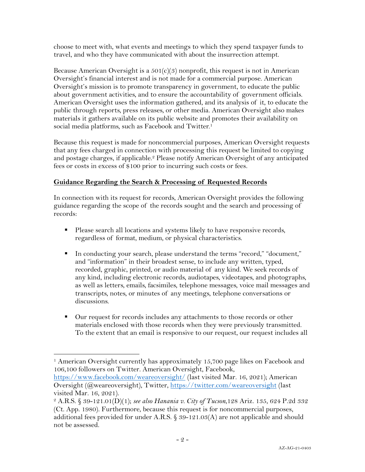choose to meet with, what events and meetings to which they spend taxpayer funds to travel, and who they have communicated with about the insurrection attempt.

Because American Oversight is a  $501(c)(3)$  nonprofit, this request is not in American Oversight's financial interest and is not made for a commercial purpose. American Oversight's mission is to promote transparency in government, to educate the public about government activities, and to ensure the accountability of government officials. American Oversight uses the information gathered, and its analysis of it, to educate the public through reports, press releases, or other media. American Oversight also makes materials it gathers available on its public website and promotes their availability on social media platforms, such as Facebook and Twitter.<sup>1</sup>

Because this request is made for noncommercial purposes, American Oversight requests that any fees charged in connection with processing this request be limited to copying and postage charges, if applicable.<sup>2</sup> Please notify American Oversight of any anticipated fees or costs in excess of \$100 prior to incurring such costs or fees.

# **Guidance Regarding the Search & Processing of Requested Records**

In connection with its request for records, American Oversight provides the following guidance regarding the scope of the records sought and the search and processing of records:

- Please search all locations and systems likely to have responsive records, regardless of format, medium, or physical characteristics.
- § In conducting your search, please understand the terms "record," "document," and "information" in their broadest sense, to include any written, typed, recorded, graphic, printed, or audio material of any kind. We seek records of any kind, including electronic records, audiotapes, videotapes, and photographs, as well as letters, emails, facsimiles, telephone messages, voice mail messages and transcripts, notes, or minutes of any meetings, telephone conversations or discussions.
- Our request for records includes any attachments to those records or other materials enclosed with those records when they were previously transmitted. To the extent that an email is responsive to our request, our request includes all

https://www.facebook.com/weareoversight/ (last visited Mar. 16, 2021); American Oversight (@weareoversight), Twitter, https://twitter.com/weareoversight (last visited Mar. 16, 2021).

<sup>1</sup> American Oversight currently has approximately 15,700 page likes on Facebook and 106,100 followers on Twitter. American Oversight, Facebook,

<sup>2</sup> A.R.S. § 39-121.01(D)(1); *see also Hanania v. City of Tucson*,128 Ariz. 135, 624 P.2d 332 (Ct. App. 1980). Furthermore, because this request is for noncommercial purposes, additional fees provided for under A.R.S. § 39-121.03(A) are not applicable and should not be assessed.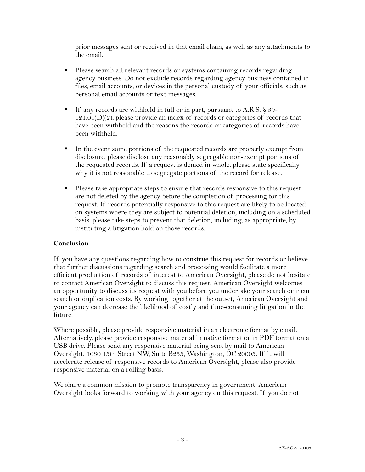prior messages sent or received in that email chain, as well as any attachments to the email.

- § Please search all relevant records or systems containing records regarding agency business. Do not exclude records regarding agency business contained in files, email accounts, or devices in the personal custody of your officials, such as personal email accounts or text messages.
- If any records are withheld in full or in part, pursuant to A.R.S. § 39- $121.01(D)(2)$ , please provide an index of records or categories of records that have been withheld and the reasons the records or categories of records have been withheld.
- In the event some portions of the requested records are properly exempt from disclosure, please disclose any reasonably segregable non-exempt portions of the requested records. If a request is denied in whole, please state specifically why it is not reasonable to segregate portions of the record for release.
- Please take appropriate steps to ensure that records responsive to this request are not deleted by the agency before the completion of processing for this request. If records potentially responsive to this request are likely to be located on systems where they are subject to potential deletion, including on a scheduled basis, please take steps to prevent that deletion, including, as appropriate, by instituting a litigation hold on those records.

## **Conclusion**

If you have any questions regarding how to construe this request for records or believe that further discussions regarding search and processing would facilitate a more efficient production of records of interest to American Oversight, please do not hesitate to contact American Oversight to discuss this request. American Oversight welcomes an opportunity to discuss its request with you before you undertake your search or incur search or duplication costs. By working together at the outset, American Oversight and your agency can decrease the likelihood of costly and time-consuming litigation in the future.

Where possible, please provide responsive material in an electronic format by email. Alternatively, please provide responsive material in native format or in PDF format on a USB drive. Please send any responsive material being sent by mail to American Oversight, 1030 15th Street NW, Suite B255, Washington, DC 20005. If it will accelerate release of responsive records to American Oversight, please also provide responsive material on a rolling basis.

We share a common mission to promote transparency in government. American Oversight looks forward to working with your agency on this request. If you do not